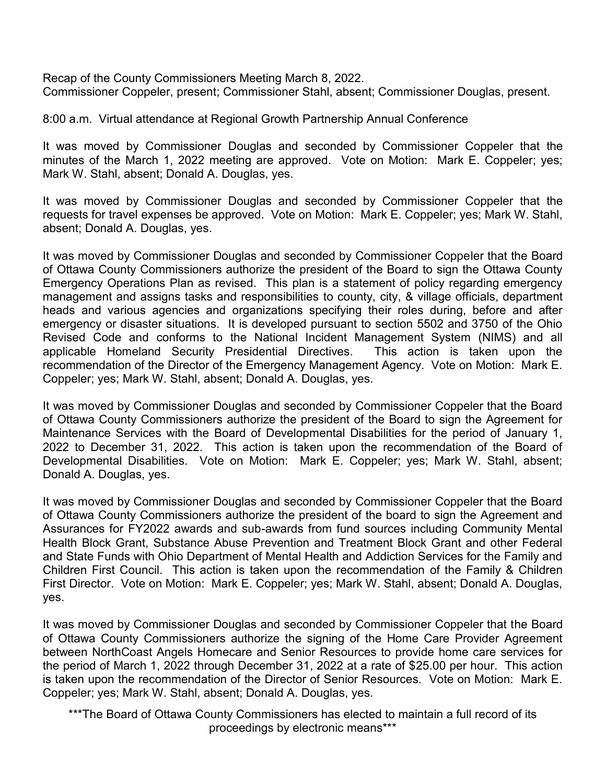Recap of the County Commissioners Meeting March 8, 2022. Commissioner Coppeler, present; Commissioner Stahl, absent; Commissioner Douglas, present.

8:00 a.m. Virtual attendance at Regional Growth Partnership Annual Conference

It was moved by Commissioner Douglas and seconded by Commissioner Coppeler that the minutes of the March 1, 2022 meeting are approved. Vote on Motion: Mark E. Coppeler; yes; Mark W. Stahl, absent; Donald A. Douglas, yes.

It was moved by Commissioner Douglas and seconded by Commissioner Coppeler that the requests for travel expenses be approved. Vote on Motion: Mark E. Coppeler; yes; Mark W. Stahl, absent; Donald A. Douglas, yes.

It was moved by Commissioner Douglas and seconded by Commissioner Coppeler that the Board of Ottawa County Commissioners authorize the president of the Board to sign the Ottawa County Emergency Operations Plan as revised. This plan is a statement of policy regarding emergency management and assigns tasks and responsibilities to county, city, & village officials, department heads and various agencies and organizations specifying their roles during, before and after emergency or disaster situations. It is developed pursuant to section 5502 and 3750 of the Ohio Revised Code and conforms to the National Incident Management System (NIMS) and all applicable Homeland Security Presidential Directives. This action is taken upon the recommendation of the Director of the Emergency Management Agency. Vote on Motion: Mark E. Coppeler; yes; Mark W. Stahl, absent; Donald A. Douglas, yes.

It was moved by Commissioner Douglas and seconded by Commissioner Coppeler that the Board of Ottawa County Commissioners authorize the president of the Board to sign the Agreement for Maintenance Services with the Board of Developmental Disabilities for the period of January 1, 2022 to December 31, 2022. This action is taken upon the recommendation of the Board of Developmental Disabilities. Vote on Motion: Mark E. Coppeler; yes; Mark W. Stahl, absent; Donald A. Douglas, yes.

It was moved by Commissioner Douglas and seconded by Commissioner Coppeler that the Board of Ottawa County Commissioners authorize the president of the board to sign the Agreement and Assurances for FY2022 awards and sub-awards from fund sources including Community Mental Health Block Grant, Substance Abuse Prevention and Treatment Block Grant and other Federal and State Funds with Ohio Department of Mental Health and Addiction Services for the Family and Children First Council. This action is taken upon the recommendation of the Family & Children First Director. Vote on Motion: Mark E. Coppeler; yes; Mark W. Stahl, absent; Donald A. Douglas, yes.

It was moved by Commissioner Douglas and seconded by Commissioner Coppeler that the Board of Ottawa County Commissioners authorize the signing of the Home Care Provider Agreement between NorthCoast Angels Homecare and Senior Resources to provide home care services for the period of March 1, 2022 through December 31, 2022 at a rate of \$25.00 per hour. This action is taken upon the recommendation of the Director of Senior Resources. Vote on Motion: Mark E. Coppeler; yes; Mark W. Stahl, absent; Donald A. Douglas, yes.

\*\*\*The Board of Ottawa County Commissioners has elected to maintain a full record of its proceedings by electronic means\*\*\*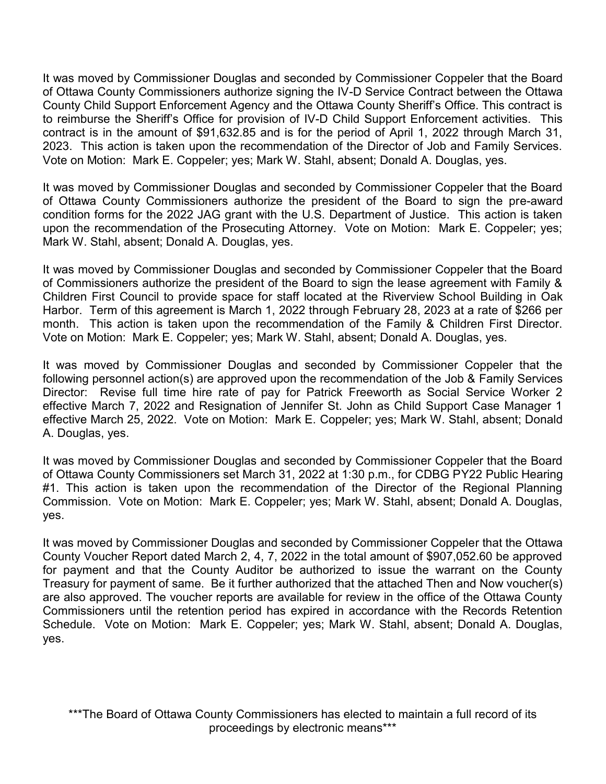It was moved by Commissioner Douglas and seconded by Commissioner Coppeler that the Board of Ottawa County Commissioners authorize signing the IV-D Service Contract between the Ottawa County Child Support Enforcement Agency and the Ottawa County Sheriff's Office. This contract is to reimburse the Sheriff's Office for provision of IV-D Child Support Enforcement activities. This contract is in the amount of \$91,632.85 and is for the period of April 1, 2022 through March 31, 2023. This action is taken upon the recommendation of the Director of Job and Family Services. Vote on Motion: Mark E. Coppeler; yes; Mark W. Stahl, absent; Donald A. Douglas, yes.

It was moved by Commissioner Douglas and seconded by Commissioner Coppeler that the Board of Ottawa County Commissioners authorize the president of the Board to sign the pre-award condition forms for the 2022 JAG grant with the U.S. Department of Justice. This action is taken upon the recommendation of the Prosecuting Attorney. Vote on Motion: Mark E. Coppeler; yes; Mark W. Stahl, absent; Donald A. Douglas, yes.

It was moved by Commissioner Douglas and seconded by Commissioner Coppeler that the Board of Commissioners authorize the president of the Board to sign the lease agreement with Family & Children First Council to provide space for staff located at the Riverview School Building in Oak Harbor. Term of this agreement is March 1, 2022 through February 28, 2023 at a rate of \$266 per month. This action is taken upon the recommendation of the Family & Children First Director. Vote on Motion: Mark E. Coppeler; yes; Mark W. Stahl, absent; Donald A. Douglas, yes.

It was moved by Commissioner Douglas and seconded by Commissioner Coppeler that the following personnel action(s) are approved upon the recommendation of the Job & Family Services Director: Revise full time hire rate of pay for Patrick Freeworth as Social Service Worker 2 effective March 7, 2022 and Resignation of Jennifer St. John as Child Support Case Manager 1 effective March 25, 2022. Vote on Motion: Mark E. Coppeler; yes; Mark W. Stahl, absent; Donald A. Douglas, yes.

It was moved by Commissioner Douglas and seconded by Commissioner Coppeler that the Board of Ottawa County Commissioners set March 31, 2022 at 1:30 p.m., for CDBG PY22 Public Hearing #1. This action is taken upon the recommendation of the Director of the Regional Planning Commission. Vote on Motion: Mark E. Coppeler; yes; Mark W. Stahl, absent; Donald A. Douglas, yes.

It was moved by Commissioner Douglas and seconded by Commissioner Coppeler that the Ottawa County Voucher Report dated March 2, 4, 7, 2022 in the total amount of \$907,052.60 be approved for payment and that the County Auditor be authorized to issue the warrant on the County Treasury for payment of same. Be it further authorized that the attached Then and Now voucher(s) are also approved. The voucher reports are available for review in the office of the Ottawa County Commissioners until the retention period has expired in accordance with the Records Retention Schedule. Vote on Motion: Mark E. Coppeler; yes; Mark W. Stahl, absent; Donald A. Douglas, yes.